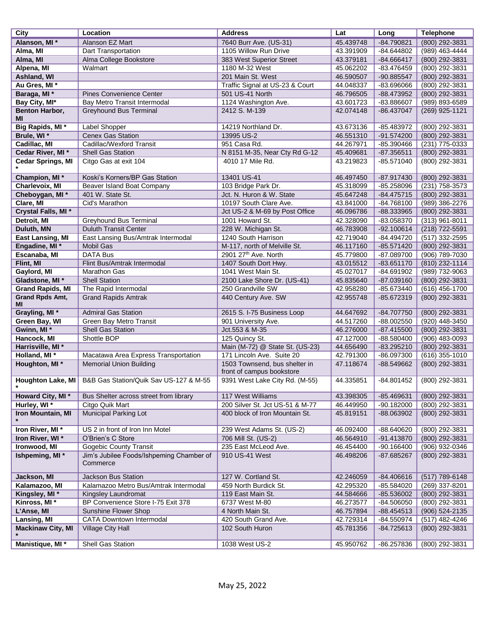| City                     | Location                                 | <b>Address</b>                   | Lat       | Long         | <b>Telephone</b> |
|--------------------------|------------------------------------------|----------------------------------|-----------|--------------|------------------|
| Alanson, MI *            | Alanson EZ Mart                          | 7640 Burr Ave. (US-31)           | 45.439748 | -84.790821   | (800) 292-3831   |
| Alma, MI                 | Dart Transportation                      | 1105 Willow Run Drive            | 43.391909 | -84.644802   | (989) 463-4444   |
| Alma, MI                 | Alma College Bookstore                   | 383 West Superior Street         | 43.379181 | -84.666417   | (800) 292-3831   |
| Alpena, MI               | Walmart                                  | 1180 M-32 West                   | 45.062202 | -83.476459   | (800) 292-3831   |
| Ashland, WI              |                                          | 201 Main St. West                | 46.590507 | -90.885547   | (800) 292-3831   |
| Au Gres, MI*             |                                          | Traffic Signal at US-23 & Court  | 44.048337 | -83.696066   | (800) 292-3831   |
|                          |                                          |                                  |           |              |                  |
| Baraga, MI *             | Pines Convenience Center                 | 501 US-41 North                  | 46.796505 | -88.473952   | (800) 292-3831   |
| Bay City, MI*            | Bay Metro Transit Intermodal             | 1124 Washington Ave.             | 43.601723 | -83.886607   | (989) 893-6589   |
| Benton Harbor,           | <b>Greyhound Bus Terminal</b>            | 2412 S. M-139                    | 42.074148 | -86.437047   | $(269)$ 925-1121 |
| ΜI                       |                                          |                                  |           |              |                  |
| Big Rapids, MI *         | Label Shopper                            | 14219 Northland Dr.              | 43.673136 | -85.483972   | (800) 292-3831   |
| Brule, WI*               | <b>Cenex Gas Station</b>                 | 13995 US-2                       | 46.551310 | $-91.574200$ | (800) 292-3831   |
| Cadillac, MI             | Cadillac/Wexford Transit                 | 951 Casa Rd.                     | 44.267971 | -85.390466   | (231) 775-0333   |
| Cedar River, MI*         | <b>Shell Gas Station</b>                 | N 8151 M-35, Near Cty Rd G-12    | 45.409681 | $-87.356511$ | (800) 292-3831   |
| <b>Cedar Springs, MI</b> | Citgo Gas at exit 104                    | 4010 17 Mile Rd.                 | 43.219823 | -85.571040   | (800) 292-3831   |
|                          |                                          |                                  |           |              |                  |
| Champion, MI*            | Koski's Korners/BP Gas Station           | 13401 US-41                      | 46.497450 | -87.917430   | (800) 292-3831   |
| Charlevoix, MI           | Beaver Island Boat Company               | 103 Bridge Park Dr.              | 45.318099 | -85.258096   | (231) 758-3573   |
| Cheboygan, MI *          | 401 W. State St.                         | Jct. N. Huron & W. State         | 45.647248 | $-84.475715$ | (800) 292-3831   |
| Clare, MI                | Cid's Marathon                           | 10197 South Clare Ave.           | 43.841000 | -84.768100   | (989) 386-2276   |
| Crystal Falls, MI *      |                                          | Jct US-2 & M-69 by Post Office   | 46.096786 | -88.333965   | (800) 292-3831   |
| Detroit, MI              | <b>Greyhound Bus Terminal</b>            | 1001 Howard St.                  | 42.328090 | -83.058370   | (313) 961-8011   |
| Duluth, MN               | <b>Duluth Transit Center</b>             | 228 W. Michigan St.              | 46.783908 | $-92.100614$ | (218) 722-5591   |
| <b>East Lansing, MI</b>  | East Lansing Bus/Amtrak Intermodal       | 1240 South Harrison              | 42.719040 | -84.494720   | $(517)$ 332-2595 |
| Engadine, MI *           | <b>Mobil Gas</b>                         | M-117, north of Melville St.     | 46.117160 | $-85.571420$ | (800) 292-3831   |
| Escanaba, MI             | DATA Bus                                 | 2901 27 <sup>th</sup> Ave. North | 45.779800 | -87.089700   | (906) 789-7030   |
| Flint, MI                | Flint Bus/Amtrak Intermodal              | 1407 South Dort Hwy.             | 43.015512 | $-83.651170$ | (810) 232-1114   |
| Gaylord, MI              | <b>Marathon Gas</b>                      | 1041 West Main St.               | 45.027017 | -84.691902   | (989) 732-9063   |
| Gladstone, MI *          | <b>Shell Station</b>                     | 2100 Lake Shore Dr. (US-41)      | 45.835640 | $-87.039160$ | (800) 292-3831   |
| <b>Grand Rapids, MI</b>  | The Rapid Intermodal                     | 250 Grandville SW                | 42.958280 | -85.673440   | (616) 456-1700   |
| <b>Grand Rpds Amt,</b>   | <b>Grand Rapids Amtrak</b>               | 440 Century Ave. SW              | 42.955748 | -85.672319   | (800) 292-3831   |
| ΜI                       |                                          |                                  |           |              |                  |
| Grayling, MI *           | <b>Admiral Gas Station</b>               | 2615 S. I-75 Business Loop       | 44.647692 | -84.707750   | (800) 292-3831   |
| Green Bay, WI            | Green Bay Metro Transit                  | 901 University Ave.              | 44.517260 | -88.002550   | (920) 448-3450   |
| Gwinn, MI *              | Shell Gas Station                        | Jct.553 & M-35                   | 46.276000 | $-87.415500$ | (800) 292-3831   |
| Hancock, MI              | Shottle BOP                              | 125 Quincy St.                   | 47.127000 | -88.580400   | (906) 483-0093   |
| Harrisville, MI*         |                                          | Main (M-72) @ State St. (US-23)  | 44.656490 | $-83.295210$ | (800) 292-3831   |
| Holland, MI *            | Macatawa Area Express Transportation     | 171 Lincoln Ave. Suite 20        | 42.791300 | -86.097300   | $(616)$ 355-1010 |
| Houghton, MI*            | <b>Memorial Union Building</b>           | 1503 Townsend, bus shelter in    | 47.118674 | -88.549662   | (800) 292-3831   |
|                          |                                          | front of campus bookstore        |           |              |                  |
| Houghton Lake, MI        | B&B Gas Station/Quik Sav US-127 & M-55   | 9391 West Lake City Rd. (M-55)   | 44.335851 | -84.801452   | (800) 292-3831   |
|                          |                                          |                                  |           |              |                  |
| Howard City, MI *        | Bus Shelter across street from library   | 117 West Williams                | 43.398305 | -85.469631   | (800) 292-3831   |
| Hurley, WI*              | Citgo Quik Mart                          | 200 Silver St. Jct US-51 & M-77  | 46.449950 | $-90.182000$ | (800) 292-3831   |
| Iron Mountain, MI        | Municipal Parking Lot                    | 400 block of Iron Mountain St.   | 45.819151 | -88.063902   | (800) 292-3831   |
|                          |                                          |                                  |           |              |                  |
| Iron River, MI*          | US 2 in front of Iron Inn Motel          | 239 West Adams St. (US-2)        | 46.092400 | -88.640620   | (800) 292-3831   |
| Iron River, WI*          | O'Brien's C Store                        | 706 Mill St. (US-2)              | 46.564910 | $-91.413870$ | (800) 292-3831   |
| Ironwood, MI             | <b>Gogebic County Transit</b>            | 235 East McLeod Ave.             | 46.454400 | -90.166400   | (906) 932-0346   |
| Ishpeming, MI*           | Jim's Jubilee Foods/Ishpeming Chamber of | 910 US-41 West                   | 46.498206 | -87.685267   | (800) 292-3831   |
|                          | Commerce                                 |                                  |           |              |                  |
|                          |                                          |                                  |           |              |                  |
| Jackson, MI              | Jackson Bus Station                      | 127 W. Cortland St.              | 42.246059 | $-84.406616$ | (517) 789-6148   |
| Kalamazoo, MI            | Kalamazoo Metro Bus/Amtrak Intermodal    | 459 North Burdick St.            | 42.295320 | -85.584020   | $(269)$ 337-8201 |
| Kingsley, MI*            | Kingsley Laundromat                      | 119 East Main St.                | 44.584666 | $-85.536002$ | (800) 292-3831   |
| Kinross, MI *            | BP Convenience Store I-75 Exit 378       | 6737 West M-80                   | 46.273577 | -84.506050   | (800) 292-3831   |
| L'Anse, MI               | Sunshine Flower Shop                     | 4 North Main St.                 | 46.757894 | $-88.454513$ | (906) 524-2135   |
| Lansing, MI              | CATA Downtown Intermodal                 | 420 South Grand Ave.             | 42.729314 | -84.550974   | (517) 482-4246   |
| <b>Mackinaw City, MI</b> | Village City Hall                        | 102 South Huron                  | 45.781356 | -84.725613   | (800) 292-3831   |
|                          |                                          |                                  |           |              |                  |
| Manistique, MI *         | Shell Gas Station                        | 1038 West US-2                   | 45.950762 | -86.257836   | (800) 292-3831   |